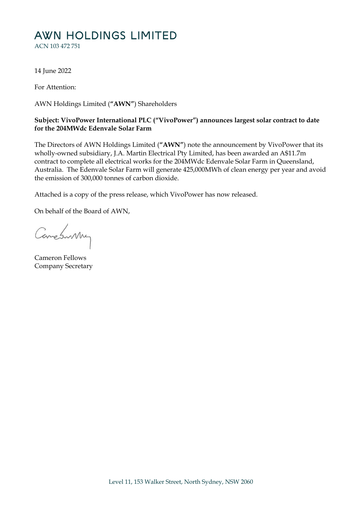# AWN HOLDINGS LIMITED

ACN 103 472 751

14 June 2022

For Attention:

AWN Holdings Limited (**"AWN"**) Shareholders

## **Subject: VivoPower International PLC ("VivoPower") announces largest solar contract to date for the 204MWdc Edenvale Solar Farm**

The Directors of AWN Holdings Limited (**"AWN"**) note the announcement by VivoPower that its wholly-owned subsidiary, J.A. Martin Electrical Pty Limited, has been awarded an A\$11.7m contract to complete all electrical works for the 204MWdc Edenvale Solar Farm in Queensland, Australia. The Edenvale Solar Farm will generate 425,000MWh of clean energy per year and avoid the emission of 300,000 tonnes of carbon dioxide.

Attached is a copy of the press release, which VivoPower has now released.

On behalf of the Board of AWN,

Constantly

Cameron Fellows Company Secretary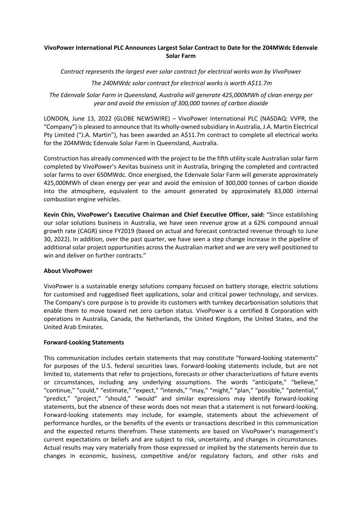### **VivoPower International PLC Announces Largest Solar Contract to Date for the 204MWdc Edenvale Solar Farm**

*Contract represents the largest ever solar contract for electrical works won by VivoPower*

## *The 240MWdc solar contract for electrical works is worth A\$11.7m*

*The Edenvale Solar Farm in Queensland, Australia will generate 425,000MWh of clean energy per year and avoid the emission of 300,000 tonnes of carbon dioxide* 

LONDON, June 13, 2022 (GLOBE NEWSWIRE) – VivoPower International PLC (NASDAQ: VVPR, the "Company") is pleased to announce that its wholly‐owned subsidiary in Australia, J.A. Martin Electrical Pty Limited ("J.A. Martin"), has been awarded an A\$11.7m contract to complete all electrical works for the 204MWdc Edenvale Solar Farm in Queensland, Australia.

Construction has already commenced with the project to be the fifth utility scale Australian solar farm completed by VivoPower's Aevitas business unit in Australia, bringing the completed and contracted solar farms to over 650MWdc. Once energised, the Edenvale Solar Farm will generate approximately 425,000MWh of clean energy per year and avoid the emission of 300,000 tonnes of carbon dioxide into the atmosphere, equivalent to the amount generated by approximately 83,000 internal combustion engine vehicles.

**Kevin Chin, VivoPower's Executive Chairman and Chief Executive Officer, said:** "Since establishing our solar solutions business in Australia, we have seen revenue grow at a 62% compound annual growth rate (CAGR) since FY2019 (based on actual and forecast contracted revenue through to June 30, 2022). In addition, over the past quarter, we have seen a step change increase in the pipeline of additional solar project opportunities across the Australian market and we are very well positioned to win and deliver on further contracts."

#### **About VivoPower**

VivoPower is a sustainable energy solutions company focused on battery storage, electric solutions for customised and ruggedised fleet applications, solar and critical power technology, and services. The Company's core purpose is to provide its customers with turnkey decarbonisation solutions that enable them to move toward net zero carbon status. VivoPower is a certified B Corporation with operations in Australia, Canada, the Netherlands, the United Kingdom, the United States, and the United Arab Emirates.

#### **Forward‐Looking Statements**

This communication includes certain statements that may constitute "forward‐looking statements" for purposes of the U.S. federal securities laws. Forward-looking statements include, but are not limited to, statements that refer to projections, forecasts or other characterizations of future events or circumstances, including any underlying assumptions. The words "anticipate," "believe," "continue," "could," "estimate," "expect," "intends," "may," "might," "plan," "possible," "potential," "predict," "project," "should," "would" and similar expressions may identify forward‐looking statements, but the absence of these words does not mean that a statement is not forward‐looking. Forward‐looking statements may include, for example, statements about the achievement of performance hurdles, or the benefits of the events or transactions described in this communication and the expected returns therefrom. These statements are based on VivoPower's management's current expectations or beliefs and are subject to risk, uncertainty, and changes in circumstances. Actual results may vary materially from those expressed or implied by the statements herein due to changes in economic, business, competitive and/or regulatory factors, and other risks and